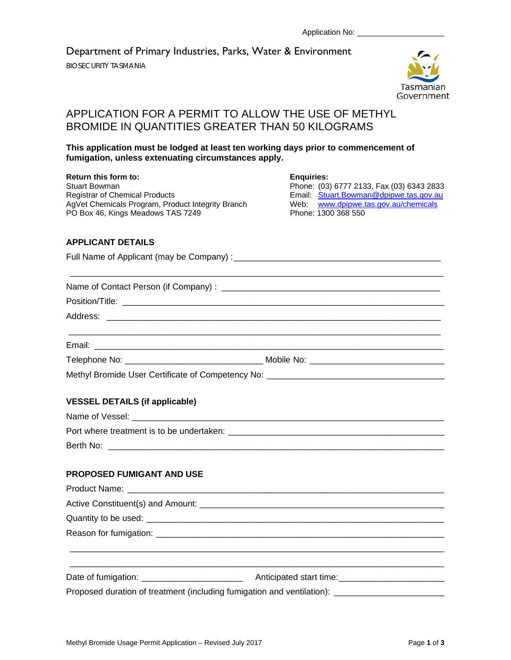Department of Primary Industries, Parks, Water & Environment

BIOSECURITY TASMANIA



# APPLICATION FOR A PERMIT TO ALLOW THE USE OF METHYL BROMIDE IN QUANTITIES GREATER THAN 50 KILOGRAMS

# **This application must be lodged at least ten working days prior to commencement of fumigation, unless extenuating circumstances apply.**

**Return this form to: Enquiries:**

Stuart Bowman **Communist Bowman** Phone: (03) 6777 2133, Fax (03) 6343 2833<br>Registrar of Chemical Products **Communist Communist Communist Communist Communist Communist Communist Communist** AgVet Chemicals Program, Product Integrity Branch Web: www.dpipwe.tas.<br>PO Box 46. Kings Meadows TAS 7249 Phone: 1300 368 550 PO Box 46, Kings Meadows TAS 7249

Email: Stuart.Bowman@dpipwe.tas.gov.au<br>Web: www.dpipwe.tas.gov.au/chemicals

## **APPLICANT DETAILS**

| <b>VESSEL DETAILS (if applicable)</b> |                                                                                                     |  |  |  |  |  |
|---------------------------------------|-----------------------------------------------------------------------------------------------------|--|--|--|--|--|
|                                       |                                                                                                     |  |  |  |  |  |
|                                       |                                                                                                     |  |  |  |  |  |
|                                       |                                                                                                     |  |  |  |  |  |
| <b>PROPOSED FUMIGANT AND USE</b>      |                                                                                                     |  |  |  |  |  |
|                                       |                                                                                                     |  |  |  |  |  |
|                                       |                                                                                                     |  |  |  |  |  |
|                                       |                                                                                                     |  |  |  |  |  |
|                                       |                                                                                                     |  |  |  |  |  |
|                                       |                                                                                                     |  |  |  |  |  |
|                                       |                                                                                                     |  |  |  |  |  |
|                                       | Proposed duration of treatment (including fumigation and ventilation): ____________________________ |  |  |  |  |  |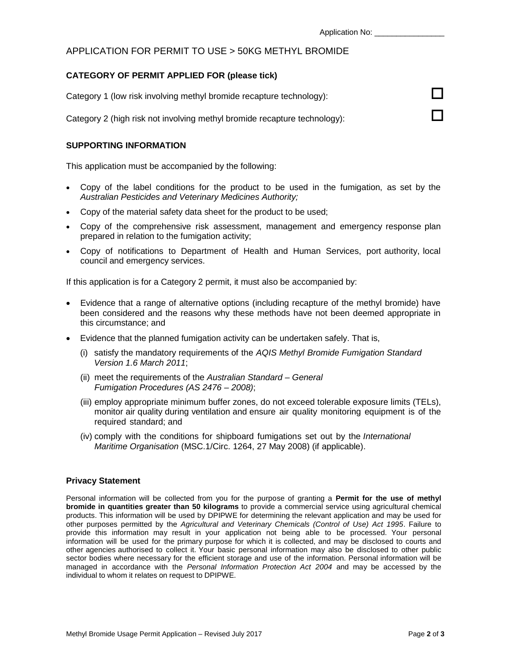# APPLICATION FOR PERMIT TO USE > 50KG METHYL BROMIDE

#### **CATEGORY OF PERMIT APPLIED FOR (please tick)**

Category 1 (low risk involving methyl bromide recapture technology):

Category 2 (high risk not involving methyl bromide recapture technology):

## **SUPPORTING INFORMATION**

This application must be accompanied by the following:

- Copy of the label conditions for the product to be used in the fumigation, as set by the *Australian Pesticides and Veterinary Medicines Authority;*
- Copy of the material safety data sheet for the product to be used;
- Copy of the comprehensive risk assessment, management and emergency response plan prepared in relation to the fumigation activity;
- Copy of notifications to Department of Health and Human Services, port authority, local council and emergency services.

If this application is for a Category 2 permit, it must also be accompanied by:

- Evidence that a range of alternative options (including recapture of the methyl bromide) have been considered and the reasons why these methods have not been deemed appropriate in this circumstance; and
- Evidence that the planned fumigation activity can be undertaken safely. That is,
	- (i) satisfy the mandatory requirements of the *AQIS Methyl Bromide Fumigation Standard Version 1.6 March 2011*;
	- (ii) meet the requirements of the *Australian Standard General Fumigation Procedures (AS 2476 – 2008)*;
	- (iii) employ appropriate minimum buffer zones, do not exceed tolerable exposure limits (TELs), monitor air quality during ventilation and ensure air quality monitoring equipment is of the required standard; and
	- (iv) comply with the conditions for shipboard fumigations set out by the *International Maritime Organisation* (MSC.1/Circ. 1264, 27 May 2008) (if applicable).

## **Privacy Statement**

Personal information will be collected from you for the purpose of granting a **Permit for the use of methyl bromide in quantities greater than 50 kilograms** to provide a commercial service using agricultural chemical products. This information will be used by DPIPWE for determining the relevant application and may be used for other purposes permitted by the *Agricultural and Veterinary Chemicals (Control of Use) Act 1995*. Failure to provide this information may result in your application not being able to be processed. Your personal information will be used for the primary purpose for which it is collected, and may be disclosed to courts and other agencies authorised to collect it. Your basic personal information may also be disclosed to other public sector bodies where necessary for the efficient storage and use of the information. Personal information will be managed in accordance with the *Personal Information Protection Act 2004* and may be accessed by the individual to whom it relates on request to DPIPWE.